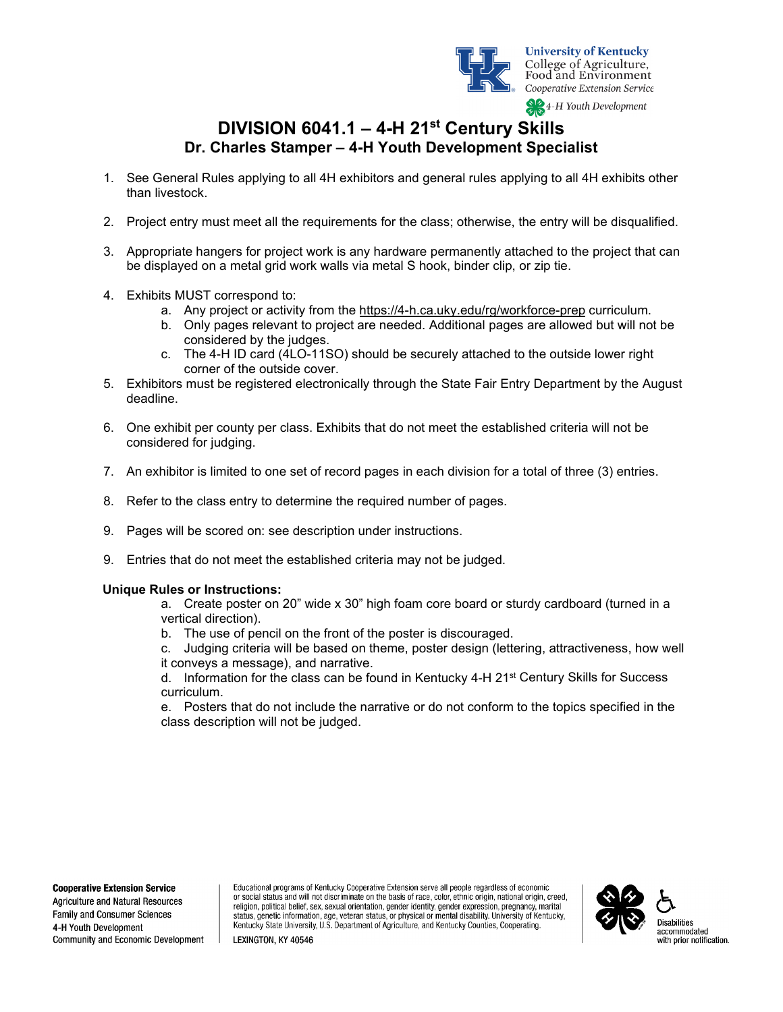

**University of Kentucky** College of Agriculture,<br>Food and Environment Cooperative Extension Service

**SPA-H** Youth Development

# **DIVISION 6041.1 – 4-H 21st Century Skills Dr. Charles Stamper – 4-H Youth Development Specialist**

- 1. See General Rules applying to all 4H exhibitors and general rules applying to all 4H exhibits other than livestock.
- 2. Project entry must meet all the requirements for the class; otherwise, the entry will be disqualified.
- 3. Appropriate hangers for project work is any hardware permanently attached to the project that can be displayed on a metal grid work walls via metal S hook, binder clip, or zip tie.
- 4. Exhibits MUST correspond to:
	- a. Any project or activity from the<https://4-h.ca.uky.edu/rg/workforce-prep> curriculum.
	- b. Only pages relevant to project are needed. Additional pages are allowed but will not be considered by the judges.
	- c. The 4-H ID card (4LO-11SO) should be securely attached to the outside lower right corner of the outside cover.
- 5. Exhibitors must be registered electronically through the State Fair Entry Department by the August deadline.
- 6. One exhibit per county per class. Exhibits that do not meet the established criteria will not be considered for judging.
- 7. An exhibitor is limited to one set of record pages in each division for a total of three (3) entries.
- 8. Refer to the class entry to determine the required number of pages.
- 9. Pages will be scored on: see description under instructions.
- 9. Entries that do not meet the established criteria may not be judged.

### **Unique Rules or Instructions:**

- a. Create poster on 20" wide x 30" high foam core board or sturdy cardboard (turned in a vertical direction).
- b. The use of pencil on the front of the poster is discouraged.
- c. Judging criteria will be based on theme, poster design (lettering, attractiveness, how well it conveys a message), and narrative.

d. Information for the class can be found in Kentucky 4-H 21 $\mathrm{st}$  Century Skills for Success curriculum.

e. Posters that do not include the narrative or do not conform to the topics specified in the class description will not be judged.

#### **Cooperative Extension Service**

Agriculture and Natural Resources Family and Consumer Sciences 4-H Youth Development Community and Economic Development

Educational programs of Kentucky Cooperative Extension serve all people regardless of economic or social status and will not discriminate on the basis of race, color, ethnic origin, national origin, creed, religion, political belief, sex, sexual orientation, gender identity, gender expression, pregnancy, marital status, genetic information, age, veteran status, or physical or mental disability. University of Kentucky,<br>Kentucky State University, U.S. Department of Agriculture, and Kentucky Counties, Cooperating.



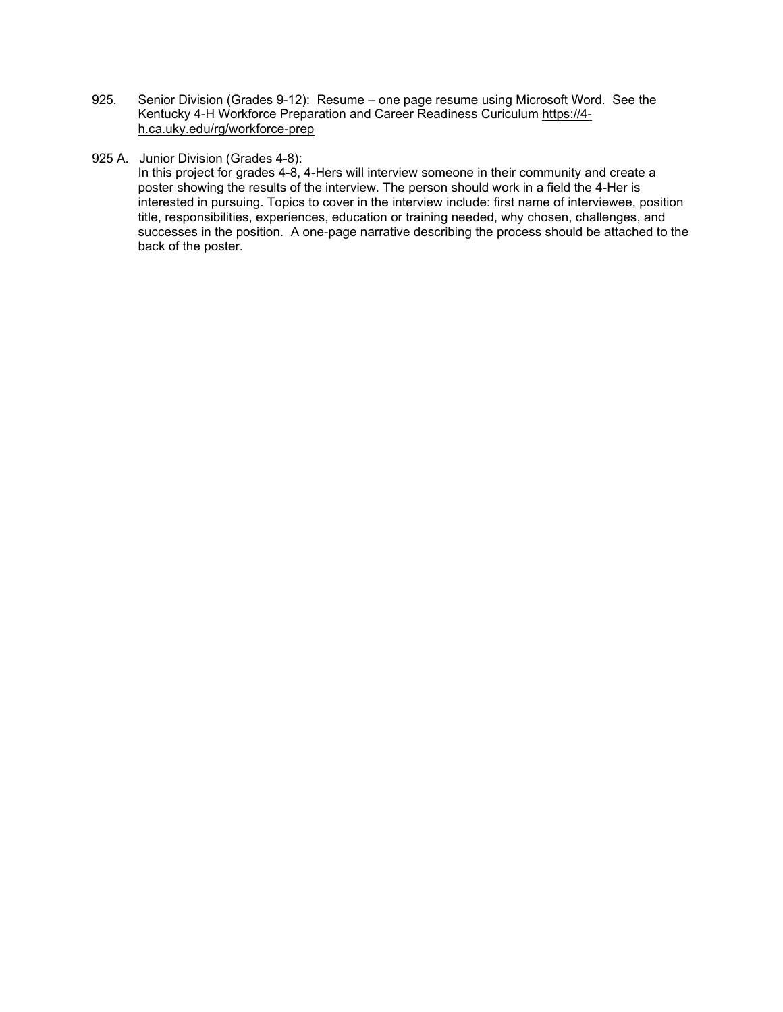- 925. Senior Division (Grades 9-12): Resume one page resume using Microsoft Word. See the Kentucky 4-H Workforce Preparation and Career Readiness Curiculum [https://4](https://4-h.ca.uky.edu/rg/workforce-prep) [h.ca.uky.edu/rg/workforce-prep](https://4-h.ca.uky.edu/rg/workforce-prep)
- 925 A. Junior Division (Grades 4-8):

In this project for grades 4-8, 4-Hers will interview someone in their community and create a poster showing the results of the interview. The person should work in a field the 4-Her is interested in pursuing. Topics to cover in the interview include: first name of interviewee, position title, responsibilities, experiences, education or training needed, why chosen, challenges, and successes in the position. A one-page narrative describing the process should be attached to the back of the poster.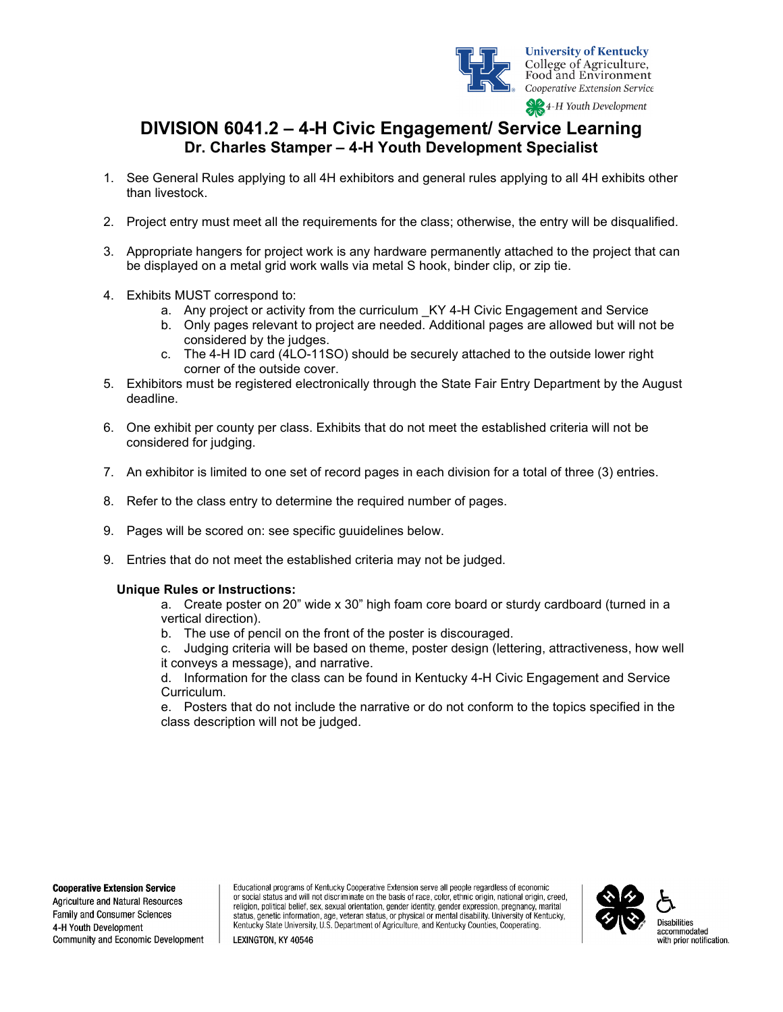

## **DIVISION 6041.2 – 4-H Civic Engagement/ Service Learning Dr. Charles Stamper – 4-H Youth Development Specialist**

- 1. See General Rules applying to all 4H exhibitors and general rules applying to all 4H exhibits other than livestock.
- 2. Project entry must meet all the requirements for the class; otherwise, the entry will be disqualified.
- 3. Appropriate hangers for project work is any hardware permanently attached to the project that can be displayed on a metal grid work walls via metal S hook, binder clip, or zip tie.
- 4. Exhibits MUST correspond to:
	- a. Any project or activity from the curriculum KY 4-H Civic Engagement and Service
	- b. Only pages relevant to project are needed. Additional pages are allowed but will not be considered by the judges.
	- c. The 4-H ID card (4LO-11SO) should be securely attached to the outside lower right corner of the outside cover.
- 5. Exhibitors must be registered electronically through the State Fair Entry Department by the August deadline.
- 6. One exhibit per county per class. Exhibits that do not meet the established criteria will not be considered for judging.
- 7. An exhibitor is limited to one set of record pages in each division for a total of three (3) entries.
- 8. Refer to the class entry to determine the required number of pages.
- 9. Pages will be scored on: see specific guuidelines below.
- 9. Entries that do not meet the established criteria may not be judged.

### **Unique Rules or Instructions:**

- a. Create poster on 20" wide x 30" high foam core board or sturdy cardboard (turned in a vertical direction).
- b. The use of pencil on the front of the poster is discouraged.
- c. Judging criteria will be based on theme, poster design (lettering, attractiveness, how well it conveys a message), and narrative.

d. Information for the class can be found in Kentucky 4-H Civic Engagement and Service Curriculum.

e. Posters that do not include the narrative or do not conform to the topics specified in the class description will not be judged.

#### **Cooperative Extension Service**

Agriculture and Natural Resources Family and Consumer Sciences 4-H Youth Development Community and Economic Development

Educational programs of Kentucky Cooperative Extension serve all people regardless of economic or social status and will not discriminate on the basis of race, color, ethnic origin, national origin, creed, religion, political belief, sex, sexual orientation, gender identity, gender expression, pregnancy, marital status, genetic information, age, veteran status, or physical or mental disability. University of Kentucky,<br>Kentucky State University, U.S. Department of Agriculture, and Kentucky Counties, Cooperating.